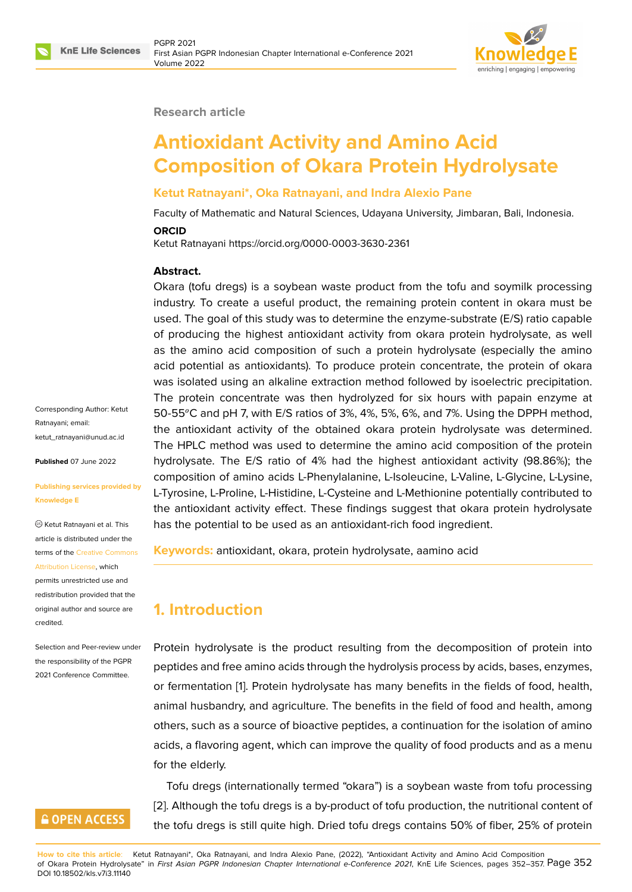#### **Research article**

# **Antioxidant Activity and Amino Acid Composition of Okara Protein Hydrolysate**

### **Ketut Ratnayani\*, Oka Ratnayani, and Indra Alexio Pane**

Faculty of Mathematic and Natural Sciences, Udayana University, Jimbaran, Bali, Indonesia.

#### **ORCID**

Ketut Ratnayani https://orcid.org/0000-0003-3630-2361

#### **Abstract.**

Okara (tofu dregs) is a soybean waste product from the tofu and soymilk processing industry. To create a useful product, the remaining protein content in okara must be used. The goal of this study was to determine the enzyme-substrate (E/S) ratio capable of producing the highest antioxidant activity from okara protein hydrolysate, as well as the amino acid composition of such a protein hydrolysate (especially the amino acid potential as antioxidants). To produce protein concentrate, the protein of okara was isolated using an alkaline extraction method followed by isoelectric precipitation. The protein concentrate was then hydrolyzed for six hours with papain enzyme at 50-55 $\degree$ C and pH 7, with E/S ratios of 3%, 4%, 5%, 6%, and 7%. Using the DPPH method, the antioxidant activity of the obtained okara protein hydrolysate was determined. The HPLC method was used to determine the amino acid composition of the protein hydrolysate. The E/S ratio of 4% had the highest antioxidant activity (98.86%); the composition of amino acids L-Phenylalanine, L-Isoleucine, L-Valine, L-Glycine, L-Lysine, L-Tyrosine, L-Proline, L-Histidine, L-Cysteine and L-Methionine potentially contributed to the antioxidant activity effect. These findings suggest that okara protein hydrolysate has the potential to be used as an antioxidant-rich food ingredient.

**Keywords:** antioxidant, okara, protein hydrolysate, aamino acid

# **1. Introduction**

Protein hydrolysate is the product resulting from the decomposition of protein into peptides and free amino acids through the hydrolysis process by acids, bases, enzymes, or fermentation [1]. Protein hydrolysate has many benefits in the fields of food, health, animal husbandry, and agriculture. The benefits in the field of food and health, among others, such as a source of bioactive peptides, a continuation for the isolation of amino acids, a flavorin[g a](#page-5-0)gent, which can improve the quality of food products and as a menu for the elderly.

Tofu dregs (internationally termed "okara") is a soybean waste from tofu processing [2]. Although the tofu dregs is a by-product of tofu production, the nutritional content of the tofu dregs is still quite high. Dried tofu dregs contains 50% of fiber, 25% of protein

**How to cite this article**: Ketut [Ra](#page-5-1)tnayani\*, Oka Ratnayani, and Indra Alexio Pane, (2022), "Antioxidant Activity and Amino Acid Composition of Okara Protein Hydrolysate" in *First Asian PGPR Indonesian Chapter International e-Conference 2021*, KnE Life Sciences, pages 352–357. Page 352 DOI 10.18502/kls.v7i3.11140

Corresponding Author: Ketut Ratnayani; email: ketut\_ratnayani@unud.ac.id

**Published** 07 June 2022

#### **[Publishing services provide](mailto:ketut_ratnayani@unud.ac.id)d by Knowledge E**

Ketut Ratnayani et al. This article is distributed under the terms of the Creative Commons Attribution License, which

permits unrestricted use and redistribution provided that the original auth[or and source are](https://creativecommons.org/licenses/by/4.0/) [credited.](https://creativecommons.org/licenses/by/4.0/)

Selection and Peer-review under the responsibility of the PGPR 2021 Conference Committee.

# **GOPEN ACCESS**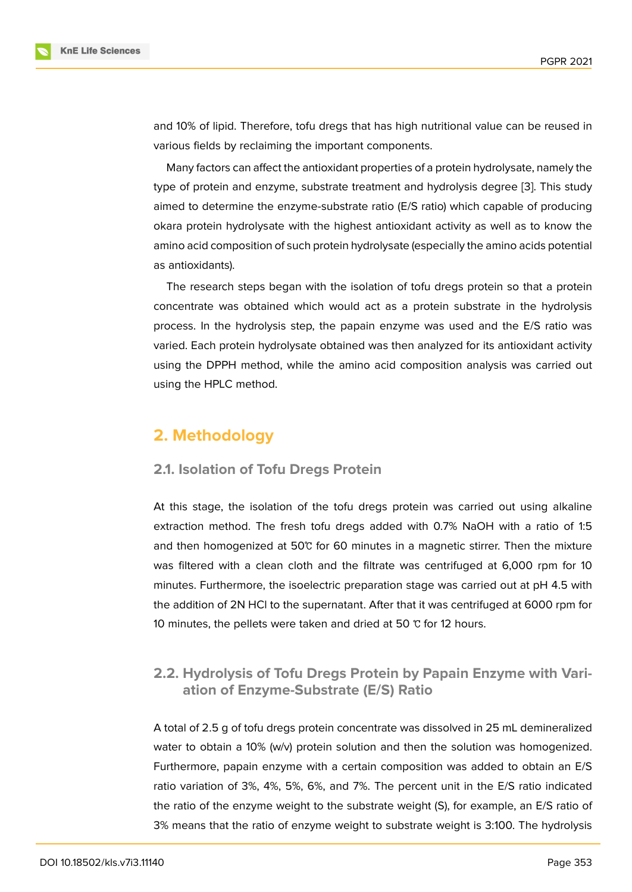and 10% of lipid. Therefore, tofu dregs that has high nutritional value can be reused in various fields by reclaiming the important components.

Many factors can affect the antioxidant properties of a protein hydrolysate, namely the type of protein and enzyme, substrate treatment and hydrolysis degree [3]. This study aimed to determine the enzyme-substrate ratio (E/S ratio) which capable of producing okara protein hydrolysate with the highest antioxidant activity as well as to know the amino acid composition of such protein hydrolysate (especially the amino [ac](#page-5-2)ids potential as antioxidants).

The research steps began with the isolation of tofu dregs protein so that a protein concentrate was obtained which would act as a protein substrate in the hydrolysis process. In the hydrolysis step, the papain enzyme was used and the E/S ratio was varied. Each protein hydrolysate obtained was then analyzed for its antioxidant activity using the DPPH method, while the amino acid composition analysis was carried out using the HPLC method.

# **2. Methodology**

#### **2.1. Isolation of Tofu Dregs Protein**

At this stage, the isolation of the tofu dregs protein was carried out using alkaline extraction method. The fresh tofu dregs added with 0.7% NaOH with a ratio of 1:5 and then homogenized at 50℃ for 60 minutes in a magnetic stirrer. Then the mixture was filtered with a clean cloth and the filtrate was centrifuged at 6,000 rpm for 10 minutes. Furthermore, the isoelectric preparation stage was carried out at pH 4.5 with the addition of 2N HCl to the supernatant. After that it was centrifuged at 6000 rpm for 10 minutes, the pellets were taken and dried at 50 ℃ for 12 hours.

## **2.2. Hydrolysis of Tofu Dregs Protein by Papain Enzyme with Variation of Enzyme-Substrate (E/S) Ratio**

A total of 2.5 g of tofu dregs protein concentrate was dissolved in 25 mL demineralized water to obtain a 10% (w/v) protein solution and then the solution was homogenized. Furthermore, papain enzyme with a certain composition was added to obtain an E/S ratio variation of 3%, 4%, 5%, 6%, and 7%. The percent unit in the E/S ratio indicated the ratio of the enzyme weight to the substrate weight (S), for example, an E/S ratio of 3% means that the ratio of enzyme weight to substrate weight is 3:100. The hydrolysis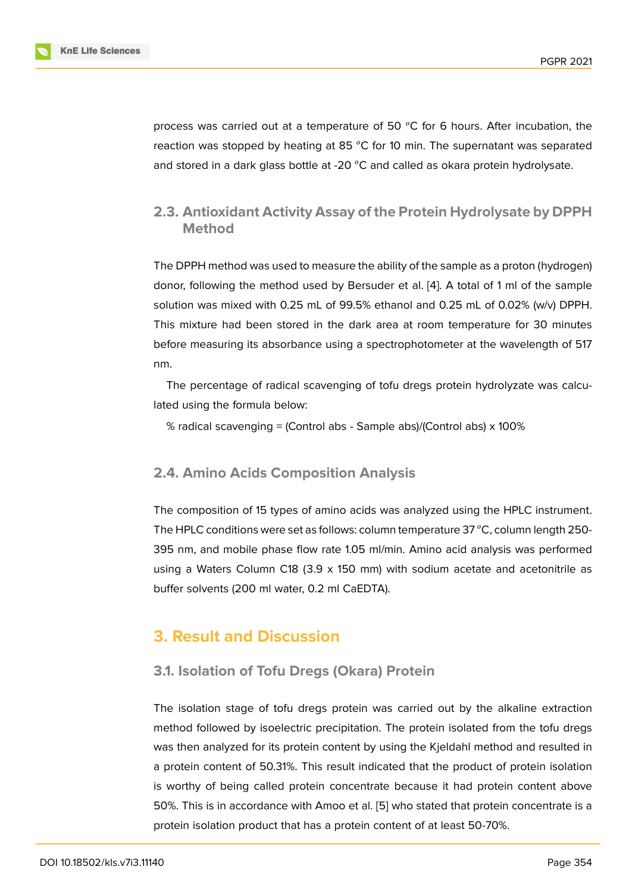process was carried out at a temperature of 50  $^{\circ}$ C for 6 hours. After incubation, the reaction was stopped by heating at 85  $^{\circ}$ C for 10 min. The supernatant was separated and stored in a dark glass bottle at -20  $^{\circ}$ C and called as okara protein hydrolysate.

# **2.3. Antioxidant Activity Assay of the Protein Hydrolysate by DPPH Method**

The DPPH method was used to measure the ability of the sample as a proton (hydrogen) donor, following the method used by Bersuder et al. [4]. A total of 1 ml of the sample solution was mixed with 0.25 mL of 99.5% ethanol and 0.25 mL of 0.02% (w/v) DPPH. This mixture had been stored in the dark area at room temperature for 30 minutes before measuring its absorbance using a spectrophot[om](#page-5-3)eter at the wavelength of 517 nm.

The percentage of radical scavenging of tofu dregs protein hydrolyzate was calculated using the formula below:

% radical scavenging = (Control abs - Sample abs)/(Control abs) x 100%

### **2.4. Amino Acids Composition Analysis**

The composition of 15 types of amino acids was analyzed using the HPLC instrument. The HPLC conditions were set as follows: column temperature  $37\degree C$ , column length 250-395 nm, and mobile phase flow rate 1.05 ml/min. Amino acid analysis was performed using a Waters Column C18 (3.9 x 150 mm) with sodium acetate and acetonitrile as buffer solvents (200 ml water, 0.2 ml CaEDTA).

# **3. Result and Discussion**

## **3.1. Isolation of Tofu Dregs (Okara) Protein**

The isolation stage of tofu dregs protein was carried out by the alkaline extraction method followed by isoelectric precipitation. The protein isolated from the tofu dregs was then analyzed for its protein content by using the Kjeldahl method and resulted in a protein content of 50.31%. This result indicated that the product of protein isolation is worthy of being called protein concentrate because it had protein content above 50%. This is in accordance with Amoo et al. [5] who stated that protein concentrate is a protein isolation product that has a protein content of at least 50-70%.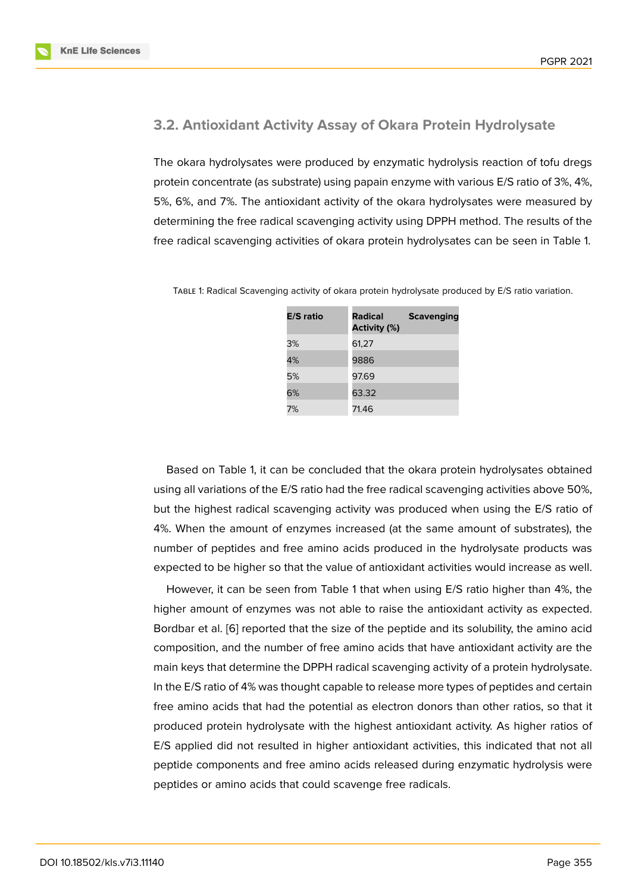#### **3.2. Antioxidant Activity Assay of Okara Protein Hydrolysate**

The okara hydrolysates were produced by enzymatic hydrolysis reaction of tofu dregs protein concentrate (as substrate) using papain enzyme with various E/S ratio of 3%, 4%, 5%, 6%, and 7%. The antioxidant activity of the okara hydrolysates were measured by determining the free radical scavenging activity using DPPH method. The results of the free radical scavenging activities of okara protein hydrolysates can be seen in Table 1.

| <b>E/S</b> ratio | <b>Radical</b><br><b>Activity (%)</b> | <b>Scavenging</b> |
|------------------|---------------------------------------|-------------------|
| 3%               | 61,27                                 |                   |
| 4%               | 9886                                  |                   |
| 5%               | 97.69                                 |                   |
| 6%               | 63.32                                 |                   |
| 7%               | 71.46                                 |                   |

Table 1: Radical Scavenging activity of okara protein hydrolysate produced by E/S ratio variation.

Based on Table 1, it can be concluded that the okara protein hydrolysates obtained using all variations of the E/S ratio had the free radical scavenging activities above 50%, but the highest radical scavenging activity was produced when using the E/S ratio of 4%. When the amount of enzymes increased (at the same amount of substrates), the number of peptides and free amino acids produced in the hydrolysate products was expected to be higher so that the value of antioxidant activities would increase as well.

However, it can be seen from Table 1 that when using E/S ratio higher than 4%, the higher amount of enzymes was not able to raise the antioxidant activity as expected. Bordbar et al. [6] reported that the size of the peptide and its solubility, the amino acid composition, and the number of free amino acids that have antioxidant activity are the main keys that determine the DPPH radical scavenging activity of a protein hydrolysate. In the E/S ratio [of](#page-5-4) 4% was thought capable to release more types of peptides and certain free amino acids that had the potential as electron donors than other ratios, so that it produced protein hydrolysate with the highest antioxidant activity. As higher ratios of E/S applied did not resulted in higher antioxidant activities, this indicated that not all peptide components and free amino acids released during enzymatic hydrolysis were peptides or amino acids that could scavenge free radicals.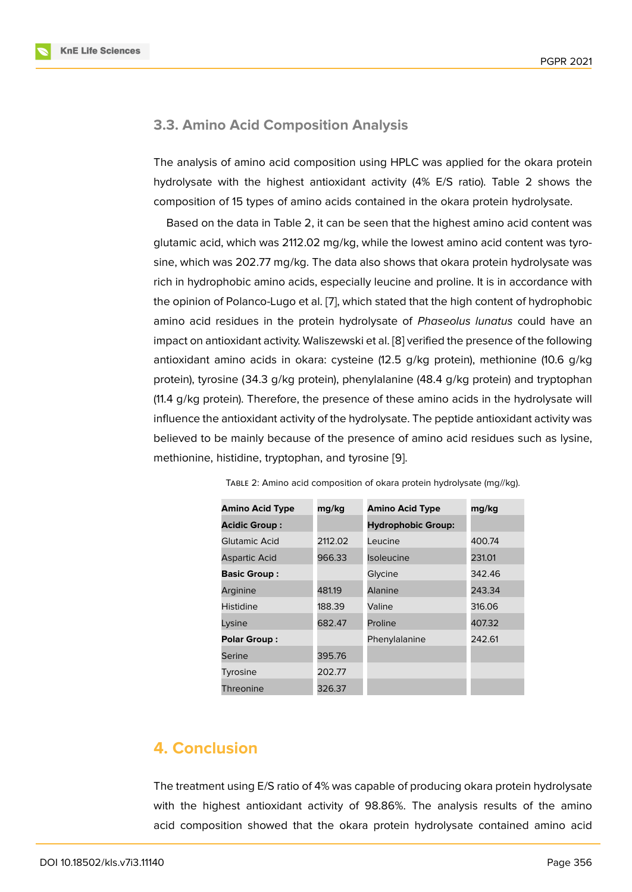#### **3.3. Amino Acid Composition Analysis**

The analysis of amino acid composition using HPLC was applied for the okara protein hydrolysate with the highest antioxidant activity (4% E/S ratio). Table 2 shows the composition of 15 types of amino acids contained in the okara protein hydrolysate.

Based on the data in Table 2, it can be seen that the highest amino acid content was glutamic acid, which was 2112.02 mg/kg, while the lowest amino acid content was tyrosine, which was 202.77 mg/kg. The data also shows that okara protein hydrolysate was rich in hydrophobic amino acids, especially leucine and proline. It is in accordance with the opinion of Polanco-Lugo et al. [7], which stated that the high content of hydrophobic amino acid residues in the protein hydrolysate of *Phaseolus lunatus* could have an impact on antioxidant activity. Waliszewski et al. [8] verified the presence of the following antioxidant amino acids in okara: [c](#page-5-5)ysteine (12.5 g/kg protein), methionine (10.6 g/kg protein), tyrosine (34.3 g/kg protein), phenylalanine (48.4 g/kg protein) and tryptophan (11.4 g/kg protein). Therefore, the presence of t[he](#page-5-6)se amino acids in the hydrolysate will influence the antioxidant activity of the hydrolysate. The peptide antioxidant activity was believed to be mainly because of the presence of amino acid residues such as lysine, methionine, histidine, tryptophan, and tyrosine [9].

| <b>Amino Acid Type</b> | mg/kg   | <b>Amino Acid Type</b>    | mg/kg  |
|------------------------|---------|---------------------------|--------|
| <b>Acidic Group:</b>   |         | <b>Hydrophobic Group:</b> |        |
| Glutamic Acid          | 2112.02 | Leucine                   | 400.74 |
| Aspartic Acid          | 966.33  | <b>Isoleucine</b>         | 231.01 |
| <b>Basic Group:</b>    |         | Glycine                   | 342.46 |
| Arginine               | 481.19  | Alanine                   | 243.34 |
| Histidine              | 188.39  | Valine                    | 316.06 |
| Lysine                 | 682.47  | Proline                   | 407.32 |
| <b>Polar Group:</b>    |         | Phenylalanine             | 242.61 |
| Serine                 | 395.76  |                           |        |
| Tyrosine               | 202.77  |                           |        |
| Threonine              | 326.37  |                           |        |

|  | TABLE 2: Amino acid composition of okara protein hydrolysate (mg//kg). |  |  |  |  |  |  |  |
|--|------------------------------------------------------------------------|--|--|--|--|--|--|--|
|--|------------------------------------------------------------------------|--|--|--|--|--|--|--|

# **4. Conclusion**

The treatment using E/S ratio of 4% was capable of producing okara protein hydrolysate with the highest antioxidant activity of 98.86%. The analysis results of the amino acid composition showed that the okara protein hydrolysate contained amino acid